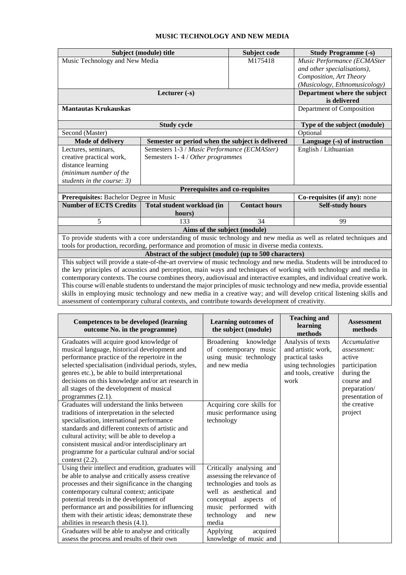## **MUSIC TECHNOLOGY AND NEW MEDIA**

| Music Technology and New Media<br>M175418<br>Music Performance (ECMASter<br>and other specialisations),<br>Composition, Art Theory<br>(Musicology, Ethnomusicology)<br>Department where the subject<br>Lecturer $(-s)$<br>is delivered<br>Department of Composition<br><b>Mantautas Krukauskas</b><br>Type of the subject (module)<br><b>Study cycle</b><br>Second (Master)<br>Optional<br><b>Mode of delivery</b><br>Semester or period when the subject is delivered<br>Language (-s) of instruction<br>English / Lithuanian<br>Semesters 1-3 / Music Performance (ECMASter)<br>Lectures, seminars,<br>creative practical work,<br>Semesters 1-4 / Other programmes<br>distance learning<br>(minimum number of the<br>students in the course: 3)<br>Prerequisites and co-requisites<br>Prerequisites: Bachelor Degree in Music<br>Co-requisites (if any): none<br><b>Number of ECTS Credits</b><br>Total student workload (in<br><b>Contact hours</b><br><b>Self-study hours</b><br>hours)<br>5<br>133<br>34<br>99<br>Aims of the subject (module)<br>To provide students with a core understanding of music technology and new media as well as related techniques and<br>tools for production, recording, performance and promotion of music in diverse media contexts.<br>Abstract of the subject (module) (up to 500 characters)<br>This subject will provide a state-of-the-art overview of music technology and new media. Students will be introduced to<br>the key principles of acoustics and perception, main ways and techniques of working with technology and media in<br>contemporary contexts. The course combines theory, audiovisual and interactive examples, and individual creative work.<br>This course will enable students to understand the major principles of music technology and new media, provide essential<br>skills in employing music technology and new media in a creative way; and will develop critical listening skills and<br>assessment of contemporary cultural contexts, and contribute towards development of creativity. |  | Subject (module) title | Subject code | <b>Study Programme (-s)</b> |  |  |  |  |
|------------------------------------------------------------------------------------------------------------------------------------------------------------------------------------------------------------------------------------------------------------------------------------------------------------------------------------------------------------------------------------------------------------------------------------------------------------------------------------------------------------------------------------------------------------------------------------------------------------------------------------------------------------------------------------------------------------------------------------------------------------------------------------------------------------------------------------------------------------------------------------------------------------------------------------------------------------------------------------------------------------------------------------------------------------------------------------------------------------------------------------------------------------------------------------------------------------------------------------------------------------------------------------------------------------------------------------------------------------------------------------------------------------------------------------------------------------------------------------------------------------------------------------------------------------------------------------------------------------------------------------------------------------------------------------------------------------------------------------------------------------------------------------------------------------------------------------------------------------------------------------------------------------------------------------------------------------------------------------------------------------------------------------------------------------------------|--|------------------------|--------------|-----------------------------|--|--|--|--|
|                                                                                                                                                                                                                                                                                                                                                                                                                                                                                                                                                                                                                                                                                                                                                                                                                                                                                                                                                                                                                                                                                                                                                                                                                                                                                                                                                                                                                                                                                                                                                                                                                                                                                                                                                                                                                                                                                                                                                                                                                                                                        |  |                        |              |                             |  |  |  |  |
|                                                                                                                                                                                                                                                                                                                                                                                                                                                                                                                                                                                                                                                                                                                                                                                                                                                                                                                                                                                                                                                                                                                                                                                                                                                                                                                                                                                                                                                                                                                                                                                                                                                                                                                                                                                                                                                                                                                                                                                                                                                                        |  |                        |              |                             |  |  |  |  |
|                                                                                                                                                                                                                                                                                                                                                                                                                                                                                                                                                                                                                                                                                                                                                                                                                                                                                                                                                                                                                                                                                                                                                                                                                                                                                                                                                                                                                                                                                                                                                                                                                                                                                                                                                                                                                                                                                                                                                                                                                                                                        |  |                        |              |                             |  |  |  |  |
|                                                                                                                                                                                                                                                                                                                                                                                                                                                                                                                                                                                                                                                                                                                                                                                                                                                                                                                                                                                                                                                                                                                                                                                                                                                                                                                                                                                                                                                                                                                                                                                                                                                                                                                                                                                                                                                                                                                                                                                                                                                                        |  |                        |              |                             |  |  |  |  |
|                                                                                                                                                                                                                                                                                                                                                                                                                                                                                                                                                                                                                                                                                                                                                                                                                                                                                                                                                                                                                                                                                                                                                                                                                                                                                                                                                                                                                                                                                                                                                                                                                                                                                                                                                                                                                                                                                                                                                                                                                                                                        |  |                        |              |                             |  |  |  |  |
|                                                                                                                                                                                                                                                                                                                                                                                                                                                                                                                                                                                                                                                                                                                                                                                                                                                                                                                                                                                                                                                                                                                                                                                                                                                                                                                                                                                                                                                                                                                                                                                                                                                                                                                                                                                                                                                                                                                                                                                                                                                                        |  |                        |              |                             |  |  |  |  |
|                                                                                                                                                                                                                                                                                                                                                                                                                                                                                                                                                                                                                                                                                                                                                                                                                                                                                                                                                                                                                                                                                                                                                                                                                                                                                                                                                                                                                                                                                                                                                                                                                                                                                                                                                                                                                                                                                                                                                                                                                                                                        |  |                        |              |                             |  |  |  |  |
|                                                                                                                                                                                                                                                                                                                                                                                                                                                                                                                                                                                                                                                                                                                                                                                                                                                                                                                                                                                                                                                                                                                                                                                                                                                                                                                                                                                                                                                                                                                                                                                                                                                                                                                                                                                                                                                                                                                                                                                                                                                                        |  |                        |              |                             |  |  |  |  |
|                                                                                                                                                                                                                                                                                                                                                                                                                                                                                                                                                                                                                                                                                                                                                                                                                                                                                                                                                                                                                                                                                                                                                                                                                                                                                                                                                                                                                                                                                                                                                                                                                                                                                                                                                                                                                                                                                                                                                                                                                                                                        |  |                        |              |                             |  |  |  |  |
|                                                                                                                                                                                                                                                                                                                                                                                                                                                                                                                                                                                                                                                                                                                                                                                                                                                                                                                                                                                                                                                                                                                                                                                                                                                                                                                                                                                                                                                                                                                                                                                                                                                                                                                                                                                                                                                                                                                                                                                                                                                                        |  |                        |              |                             |  |  |  |  |
|                                                                                                                                                                                                                                                                                                                                                                                                                                                                                                                                                                                                                                                                                                                                                                                                                                                                                                                                                                                                                                                                                                                                                                                                                                                                                                                                                                                                                                                                                                                                                                                                                                                                                                                                                                                                                                                                                                                                                                                                                                                                        |  |                        |              |                             |  |  |  |  |
|                                                                                                                                                                                                                                                                                                                                                                                                                                                                                                                                                                                                                                                                                                                                                                                                                                                                                                                                                                                                                                                                                                                                                                                                                                                                                                                                                                                                                                                                                                                                                                                                                                                                                                                                                                                                                                                                                                                                                                                                                                                                        |  |                        |              |                             |  |  |  |  |
|                                                                                                                                                                                                                                                                                                                                                                                                                                                                                                                                                                                                                                                                                                                                                                                                                                                                                                                                                                                                                                                                                                                                                                                                                                                                                                                                                                                                                                                                                                                                                                                                                                                                                                                                                                                                                                                                                                                                                                                                                                                                        |  |                        |              |                             |  |  |  |  |
|                                                                                                                                                                                                                                                                                                                                                                                                                                                                                                                                                                                                                                                                                                                                                                                                                                                                                                                                                                                                                                                                                                                                                                                                                                                                                                                                                                                                                                                                                                                                                                                                                                                                                                                                                                                                                                                                                                                                                                                                                                                                        |  |                        |              |                             |  |  |  |  |
|                                                                                                                                                                                                                                                                                                                                                                                                                                                                                                                                                                                                                                                                                                                                                                                                                                                                                                                                                                                                                                                                                                                                                                                                                                                                                                                                                                                                                                                                                                                                                                                                                                                                                                                                                                                                                                                                                                                                                                                                                                                                        |  |                        |              |                             |  |  |  |  |
|                                                                                                                                                                                                                                                                                                                                                                                                                                                                                                                                                                                                                                                                                                                                                                                                                                                                                                                                                                                                                                                                                                                                                                                                                                                                                                                                                                                                                                                                                                                                                                                                                                                                                                                                                                                                                                                                                                                                                                                                                                                                        |  |                        |              |                             |  |  |  |  |
|                                                                                                                                                                                                                                                                                                                                                                                                                                                                                                                                                                                                                                                                                                                                                                                                                                                                                                                                                                                                                                                                                                                                                                                                                                                                                                                                                                                                                                                                                                                                                                                                                                                                                                                                                                                                                                                                                                                                                                                                                                                                        |  |                        |              |                             |  |  |  |  |
|                                                                                                                                                                                                                                                                                                                                                                                                                                                                                                                                                                                                                                                                                                                                                                                                                                                                                                                                                                                                                                                                                                                                                                                                                                                                                                                                                                                                                                                                                                                                                                                                                                                                                                                                                                                                                                                                                                                                                                                                                                                                        |  |                        |              |                             |  |  |  |  |
|                                                                                                                                                                                                                                                                                                                                                                                                                                                                                                                                                                                                                                                                                                                                                                                                                                                                                                                                                                                                                                                                                                                                                                                                                                                                                                                                                                                                                                                                                                                                                                                                                                                                                                                                                                                                                                                                                                                                                                                                                                                                        |  |                        |              |                             |  |  |  |  |
|                                                                                                                                                                                                                                                                                                                                                                                                                                                                                                                                                                                                                                                                                                                                                                                                                                                                                                                                                                                                                                                                                                                                                                                                                                                                                                                                                                                                                                                                                                                                                                                                                                                                                                                                                                                                                                                                                                                                                                                                                                                                        |  |                        |              |                             |  |  |  |  |
|                                                                                                                                                                                                                                                                                                                                                                                                                                                                                                                                                                                                                                                                                                                                                                                                                                                                                                                                                                                                                                                                                                                                                                                                                                                                                                                                                                                                                                                                                                                                                                                                                                                                                                                                                                                                                                                                                                                                                                                                                                                                        |  |                        |              |                             |  |  |  |  |
|                                                                                                                                                                                                                                                                                                                                                                                                                                                                                                                                                                                                                                                                                                                                                                                                                                                                                                                                                                                                                                                                                                                                                                                                                                                                                                                                                                                                                                                                                                                                                                                                                                                                                                                                                                                                                                                                                                                                                                                                                                                                        |  |                        |              |                             |  |  |  |  |
|                                                                                                                                                                                                                                                                                                                                                                                                                                                                                                                                                                                                                                                                                                                                                                                                                                                                                                                                                                                                                                                                                                                                                                                                                                                                                                                                                                                                                                                                                                                                                                                                                                                                                                                                                                                                                                                                                                                                                                                                                                                                        |  |                        |              |                             |  |  |  |  |
|                                                                                                                                                                                                                                                                                                                                                                                                                                                                                                                                                                                                                                                                                                                                                                                                                                                                                                                                                                                                                                                                                                                                                                                                                                                                                                                                                                                                                                                                                                                                                                                                                                                                                                                                                                                                                                                                                                                                                                                                                                                                        |  |                        |              |                             |  |  |  |  |
|                                                                                                                                                                                                                                                                                                                                                                                                                                                                                                                                                                                                                                                                                                                                                                                                                                                                                                                                                                                                                                                                                                                                                                                                                                                                                                                                                                                                                                                                                                                                                                                                                                                                                                                                                                                                                                                                                                                                                                                                                                                                        |  |                        |              |                             |  |  |  |  |
|                                                                                                                                                                                                                                                                                                                                                                                                                                                                                                                                                                                                                                                                                                                                                                                                                                                                                                                                                                                                                                                                                                                                                                                                                                                                                                                                                                                                                                                                                                                                                                                                                                                                                                                                                                                                                                                                                                                                                                                                                                                                        |  |                        |              |                             |  |  |  |  |
|                                                                                                                                                                                                                                                                                                                                                                                                                                                                                                                                                                                                                                                                                                                                                                                                                                                                                                                                                                                                                                                                                                                                                                                                                                                                                                                                                                                                                                                                                                                                                                                                                                                                                                                                                                                                                                                                                                                                                                                                                                                                        |  |                        |              |                             |  |  |  |  |
|                                                                                                                                                                                                                                                                                                                                                                                                                                                                                                                                                                                                                                                                                                                                                                                                                                                                                                                                                                                                                                                                                                                                                                                                                                                                                                                                                                                                                                                                                                                                                                                                                                                                                                                                                                                                                                                                                                                                                                                                                                                                        |  |                        |              |                             |  |  |  |  |
|                                                                                                                                                                                                                                                                                                                                                                                                                                                                                                                                                                                                                                                                                                                                                                                                                                                                                                                                                                                                                                                                                                                                                                                                                                                                                                                                                                                                                                                                                                                                                                                                                                                                                                                                                                                                                                                                                                                                                                                                                                                                        |  |                        |              |                             |  |  |  |  |
|                                                                                                                                                                                                                                                                                                                                                                                                                                                                                                                                                                                                                                                                                                                                                                                                                                                                                                                                                                                                                                                                                                                                                                                                                                                                                                                                                                                                                                                                                                                                                                                                                                                                                                                                                                                                                                                                                                                                                                                                                                                                        |  |                        |              |                             |  |  |  |  |

| <b>Competences to be developed (learning</b><br>outcome No. in the programme)                                                                                                                                                                                                                                                                                                                                                                                                                              | <b>Learning outcomes of</b><br>the subject (module)                                                                                                                                                                                                               | <b>Teaching and</b><br>learning<br>methods                                                                      | <b>Assessment</b><br>methods                                                                                          |
|------------------------------------------------------------------------------------------------------------------------------------------------------------------------------------------------------------------------------------------------------------------------------------------------------------------------------------------------------------------------------------------------------------------------------------------------------------------------------------------------------------|-------------------------------------------------------------------------------------------------------------------------------------------------------------------------------------------------------------------------------------------------------------------|-----------------------------------------------------------------------------------------------------------------|-----------------------------------------------------------------------------------------------------------------------|
| Graduates will acquire good knowledge of<br>musical language, historical development and<br>performance practice of the repertoire in the<br>selected specialisation (individual periods, styles,<br>genres etc.), be able to build interpretational<br>decisions on this knowledge and/or art research in<br>all stages of the development of musical<br>programmes $(2.1)$ .                                                                                                                             | <b>Broadening</b><br>knowledge<br>of contemporary music<br>using music technology<br>and new media                                                                                                                                                                | Analysis of texts<br>and artistic work,<br>practical tasks<br>using technologies<br>and tools, creative<br>work | Accumulative<br>assessment:<br>active<br>participation<br>during the<br>course and<br>preparation/<br>presentation of |
| Graduates will understand the links between<br>traditions of interpretation in the selected<br>specialisation, international performance<br>standards and different contexts of artistic and<br>cultural activity; will be able to develop a<br>consistent musical and/or interdisciplinary art<br>programme for a particular cultural and/or social<br>context $(2.2)$ .                                                                                                                                  | Acquiring core skills for<br>music performance using<br>technology                                                                                                                                                                                                |                                                                                                                 | the creative<br>project                                                                                               |
| Using their intellect and erudition, graduates will<br>be able to analyse and critically assess creative<br>processes and their significance in the changing<br>contemporary cultural context; anticipate<br>potential trends in the development of<br>performance art and possibilities for influencing<br>them with their artistic ideas; demonstrate these<br>abilities in research thesis $(4.1)$ .<br>Graduates will be able to analyse and critically<br>assess the process and results of their own | Critically analysing and<br>assessing the relevance of<br>technologies and tools as<br>well as aesthetical and<br>conceptual<br>aspects<br>- of<br>music performed<br>with<br>technology<br>and<br>new<br>media<br>acquired<br>Applying<br>knowledge of music and |                                                                                                                 |                                                                                                                       |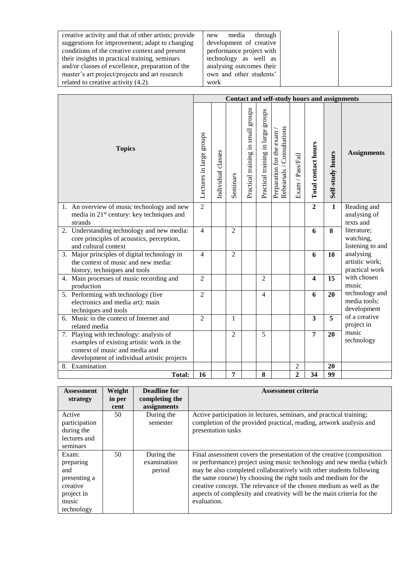| creative activity and that of other artists; provide | through<br>media<br>new  |  |
|------------------------------------------------------|--------------------------|--|
| suggestions for improvement; adapt to changing       | development of creative  |  |
| conditions of the creative context and present       | performance project with |  |
| their insights in practical training, seminars       | technology as well as    |  |
| and/or classes of excellence, preparation of the     | analysing outcomes their |  |
| master's art project/projects and art research       | own and other students'  |  |
| related to creative activity (4.2).                  | work                     |  |

|                                                                                                                                                                       | <b>Contact and self-study hours and assignments</b> |                    |                |                                       |                                    |                                                           |                  |                         |                  |                                               |
|-----------------------------------------------------------------------------------------------------------------------------------------------------------------------|-----------------------------------------------------|--------------------|----------------|---------------------------------------|------------------------------------|-----------------------------------------------------------|------------------|-------------------------|------------------|-----------------------------------------------|
| <b>Topics</b>                                                                                                                                                         |                                                     | Individual classes | Seminars       | stonbs<br>Practical training in small | Practical training in large groups | Rehearsals / Consultations<br>exam<br>Preparation for the | Exam / Pass/Fail | Total contact hours     | Self-study hours | <b>Assignments</b>                            |
| 1. An overview of music technology and new<br>media in 21 <sup>st</sup> century: key techniques and<br>strands                                                        | $\overline{2}$                                      |                    |                |                                       |                                    |                                                           |                  | $\overline{2}$          | $\mathbf{1}$     | Reading and<br>analysing of<br>texts and      |
| 2. Understanding technology and new media:<br>core principles of acoustics, perception,<br>and cultural context                                                       | $\overline{4}$                                      |                    | $\overline{2}$ |                                       |                                    |                                                           |                  | 6                       | 8                | literature;<br>watching,<br>listening to and  |
| 3. Major principles of digital technology in<br>the context of music and new media:<br>history, techniques and tools                                                  | $\overline{4}$                                      |                    | $\overline{2}$ |                                       |                                    |                                                           |                  | 6                       | 10               | analysing<br>artistic work;<br>practical work |
| 4. Main processes of music recording and<br>production                                                                                                                | $\overline{2}$                                      |                    |                |                                       | $\overline{2}$                     |                                                           |                  | $\overline{\mathbf{4}}$ | 15               | with chosen<br>music                          |
| 5. Performing with technology (live<br>electronics and media art): main<br>techniques and tools                                                                       | $\overline{2}$                                      |                    |                |                                       | $\overline{4}$                     |                                                           |                  | 6                       | 20               | technology and<br>media tools;<br>development |
| 6. Music in the context of Internet and<br>related media                                                                                                              | $\overline{2}$                                      |                    | 1              |                                       |                                    |                                                           |                  | $\overline{\mathbf{3}}$ | 5                | of a creative<br>project in                   |
| 7. Playing with technology: analysis of<br>examples of existing artistic work in the<br>context of music and media and<br>development of individual artistic projects |                                                     |                    | $\overline{2}$ |                                       | $\overline{5}$                     |                                                           |                  | $\overline{7}$          | 20               | music<br>technology                           |
| 8. Examination                                                                                                                                                        |                                                     |                    |                |                                       |                                    |                                                           | 2                |                         | 20               |                                               |
| <b>Total:</b>                                                                                                                                                         | 16                                                  |                    | 7              |                                       | 8                                  |                                                           | $\overline{2}$   | 34                      | 99               |                                               |

| <b>Assessment</b><br>strategy                                                              | Weight<br>in per | <b>Deadline for</b><br>completing the<br>assignments | <b>Assessment criteria</b>                                                                                                                                                                                                                                                                                                                                                                                                                             |
|--------------------------------------------------------------------------------------------|------------------|------------------------------------------------------|--------------------------------------------------------------------------------------------------------------------------------------------------------------------------------------------------------------------------------------------------------------------------------------------------------------------------------------------------------------------------------------------------------------------------------------------------------|
| Active<br>participation                                                                    | cent<br>50       | During the<br>semester                               | Active participation in lectures, seminars, and practical training;<br>completion of the provided practical, reading, artwork analysis and                                                                                                                                                                                                                                                                                                             |
| during the<br>lectures and<br>seminars                                                     |                  |                                                      | presentation tasks                                                                                                                                                                                                                                                                                                                                                                                                                                     |
| Exam:<br>preparing<br>and<br>presenting a<br>creative<br>project in<br>music<br>technology | 50               | During the<br>examination<br>period                  | Final assessment covers the presentation of the creative (composition<br>or performance) project using music technology and new media (which<br>may be also completed collaboratively with other students following<br>the same course) by choosing the right tools and medium for the<br>creative concept. The relevance of the chosen medium as well as the<br>aspects of complexity and creativity will be the main criteria for the<br>evaluation. |